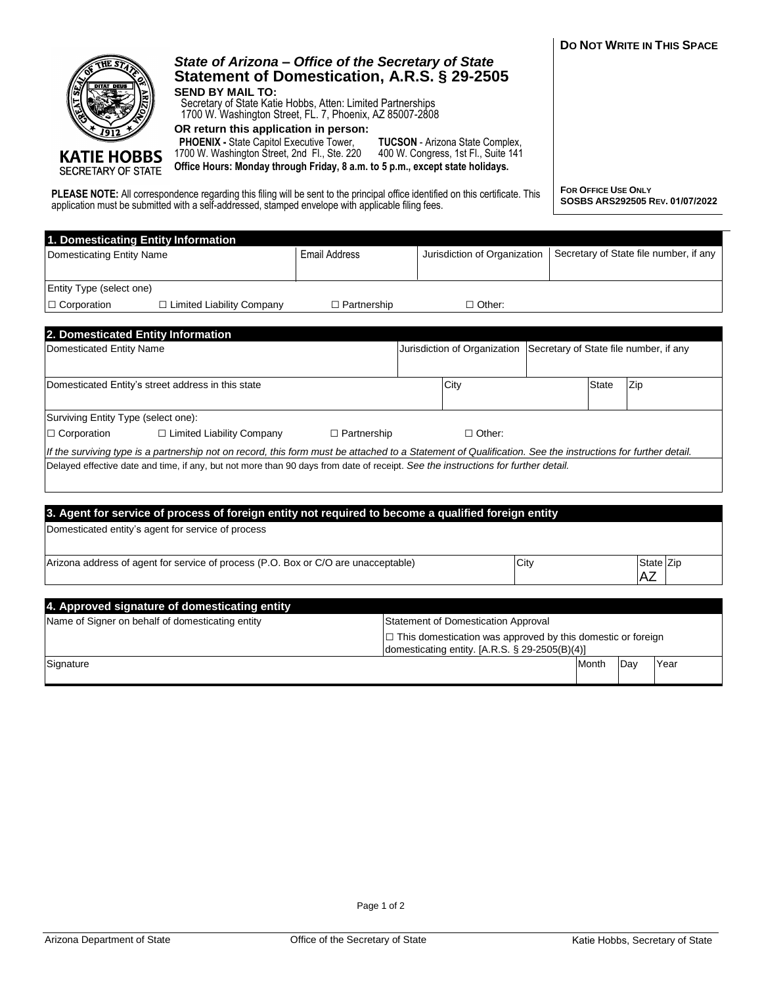|                                                           | application must be submitted with a self-addressed, stamped envelope with applicable filing fees.                                                                                                                                                                                                                                                                                                                                                           |                      |                                                                                                                      |      |                                        |           |  |
|-----------------------------------------------------------|--------------------------------------------------------------------------------------------------------------------------------------------------------------------------------------------------------------------------------------------------------------------------------------------------------------------------------------------------------------------------------------------------------------------------------------------------------------|----------------------|----------------------------------------------------------------------------------------------------------------------|------|----------------------------------------|-----------|--|
| Domesticating Entity Name                                 | 1. Domesticating Entity Information                                                                                                                                                                                                                                                                                                                                                                                                                          | <b>Email Address</b> | Jurisdiction of Organization                                                                                         |      | Secretary of State file number, if any |           |  |
| Entity Type (select one)                                  |                                                                                                                                                                                                                                                                                                                                                                                                                                                              |                      |                                                                                                                      |      |                                        |           |  |
| $\Box$ Corporation                                        | $\Box$ Limited Liability Company                                                                                                                                                                                                                                                                                                                                                                                                                             | $\Box$ Partnership   | $\Box$ Other:                                                                                                        |      |                                        |           |  |
|                                                           | 2. Domesticated Entity Information                                                                                                                                                                                                                                                                                                                                                                                                                           |                      |                                                                                                                      |      |                                        |           |  |
| Domesticated Entity Name                                  |                                                                                                                                                                                                                                                                                                                                                                                                                                                              |                      | Jurisdiction of Organization                                                                                         |      | Secretary of State file number, if any |           |  |
|                                                           | Domesticated Entity's street address in this state                                                                                                                                                                                                                                                                                                                                                                                                           |                      | City                                                                                                                 |      | State                                  | Zip       |  |
| Surviving Entity Type (select one):<br>$\Box$ Corporation | $\Box$ Limited Liability Company                                                                                                                                                                                                                                                                                                                                                                                                                             | $\Box$ Partnership   | $\Box$ Other:                                                                                                        |      |                                        |           |  |
|                                                           | If the surviving type is a partnership not on record, this form must be attached to a Statement of Qualification. See the instructions for further detail.<br>Delayed effective date and time, if any, but not more than 90 days from date of receipt. See the instructions for further detail.<br>3. Agent for service of process of foreign entity not required to become a qualified foreign entity<br>Domesticated entity's agent for service of process |                      |                                                                                                                      |      |                                        |           |  |
|                                                           | Arizona address of agent for service of process (P.O. Box or C/O are unacceptable)                                                                                                                                                                                                                                                                                                                                                                           |                      |                                                                                                                      | City |                                        | State Zip |  |
|                                                           |                                                                                                                                                                                                                                                                                                                                                                                                                                                              |                      |                                                                                                                      |      |                                        | AZ        |  |
|                                                           | 4. Approved signature of domesticating entity<br>Name of Signer on behalf of domesticating entity                                                                                                                                                                                                                                                                                                                                                            |                      | <b>Statement of Domestication Approval</b>                                                                           |      |                                        |           |  |
|                                                           |                                                                                                                                                                                                                                                                                                                                                                                                                                                              |                      | $\Box$ This domestication was approved by this domestic or foreign<br>domesticating entity. [A.R.S. § 29-2505(B)(4)] |      |                                        |           |  |

*State of Arizona – Office of the Secretary of State* **Statement of Domestication, A.R.S. § 29-2505**

**TUCSON** - Arizona State Complex,

Secretary of State Katie Hobbs, Atten: Limited Partnerships 1700 W. Washington Street, FL. 7, Phoenix, AZ 85007-2808

**OR return this application in person: PHOENIX -** State Capitol Executive Tower,

**SEND BY MAIL TO:**

íΤ